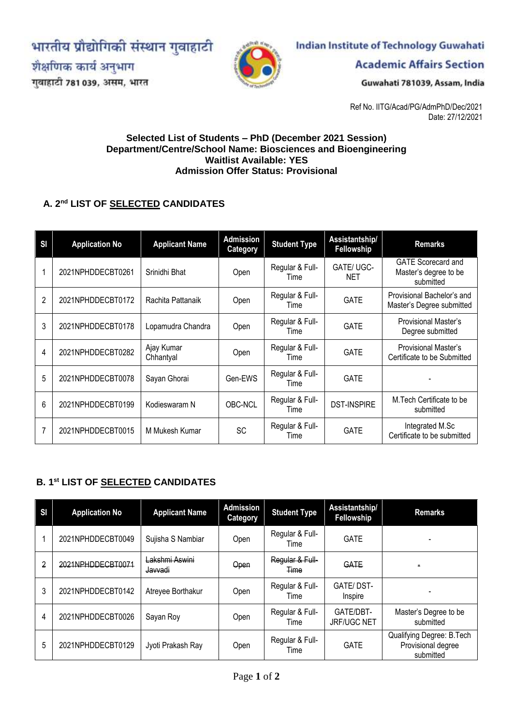भारतीय प्रौद्योगिकी संस्थान गुवाहाटी

शैक्षणिक कार्य अनुभाग

गुवाहाटी 781 039, असम, भारत



# **Indian Institute of Technology Guwahati**

**Academic Affairs Section** 

Guwahati 781039, Assam, India

Ref No. IITG/Acad/PG/AdmPhD/Dec/2021 Date: 27/12/2021

#### **Selected List of Students – PhD (December 2021 Session) Department/Centre/School Name: Biosciences and Bioengineering Waitlist Available: YES Admission Offer Status: Provisional**

### **A. 2 nd LIST OF SELECTED CANDIDATES**

| <b>SI</b>      | <b>Application No</b> | <b>Applicant Name</b>   | <b>Admission</b><br>Category | <b>Student Type</b>     | <b>Assistantship/</b><br>Fellowship | <b>Remarks</b>                                                  |
|----------------|-----------------------|-------------------------|------------------------------|-------------------------|-------------------------------------|-----------------------------------------------------------------|
|                | 2021NPHDDECBT0261     | Srinidhi Bhat           | Open                         | Regular & Full-<br>Time | GATE/UGC-<br><b>NET</b>             | <b>GATE Scorecard and</b><br>Master's degree to be<br>submitted |
| $\overline{2}$ | 2021NPHDDECBT0172     | Rachita Pattanaik       | Open                         | Regular & Full-<br>Time | <b>GATE</b>                         | Provisional Bachelor's and<br>Master's Degree submitted         |
| 3              | 2021NPHDDECBT0178     | Lopamudra Chandra       | Open                         | Regular & Full-<br>Time | <b>GATE</b>                         | Provisional Master's<br>Degree submitted                        |
| 4              | 2021NPHDDECBT0282     | Ajay Kumar<br>Chhantyal | Open                         | Regular & Full-<br>Time | <b>GATE</b>                         | Provisional Master's<br>Certificate to be Submitted             |
| 5              | 2021NPHDDECBT0078     | Sayan Ghorai            | Gen-EWS                      | Regular & Full-<br>Time | <b>GATE</b>                         |                                                                 |
| 6              | 2021NPHDDECBT0199     | Kodieswaram N           | OBC-NCL                      | Regular & Full-<br>Time | <b>DST-INSPIRE</b>                  | M.Tech Certificate to be<br>submitted                           |
| 7              | 2021NPHDDECBT0015     | M Mukesh Kumar          | <b>SC</b>                    | Regular & Full-<br>Time | <b>GATE</b>                         | Integrated M.Sc<br>Certificate to be submitted                  |

### **B. 1 st LIST OF SELECTED CANDIDATES**

| <b>SI</b> | <b>Application No</b> | <b>Applicant Name</b>     | <b>Admission</b><br><b>Category</b> | <b>Student Type</b>            | Assistantship/<br><b>Fellowship</b> | <b>Remarks</b>                                               |
|-----------|-----------------------|---------------------------|-------------------------------------|--------------------------------|-------------------------------------|--------------------------------------------------------------|
|           | 2021NPHDDECBT0049     | Sujisha S Nambiar         | Open                                | Regular & Full-<br>Time        | <b>GATE</b>                         | $\overline{\phantom{0}}$                                     |
| 2         | 2021NPHDDECBT0071     | Lakshmi Aswini<br>Javvadi | Open                                | Regular & Full-<br><b>Time</b> | <b>GATE</b>                         |                                                              |
| 3         | 2021NPHDDECBT0142     | Atreyee Borthakur         | Open                                | Regular & Full-<br>Time        | GATE/DST-<br>Inspire                |                                                              |
| 4         | 2021NPHDDECBT0026     | Sayan Roy                 | Open                                | Regular & Full-<br>Time        | GATE/DBT-<br><b>JRF/UGC NET</b>     | Master's Degree to be<br>submitted                           |
| 5         | 2021NPHDDECBT0129     | Jyoti Prakash Ray         | Open                                | Regular & Full-<br>Time        | <b>GATE</b>                         | Qualifying Degree: B.Tech<br>Provisional degree<br>submitted |